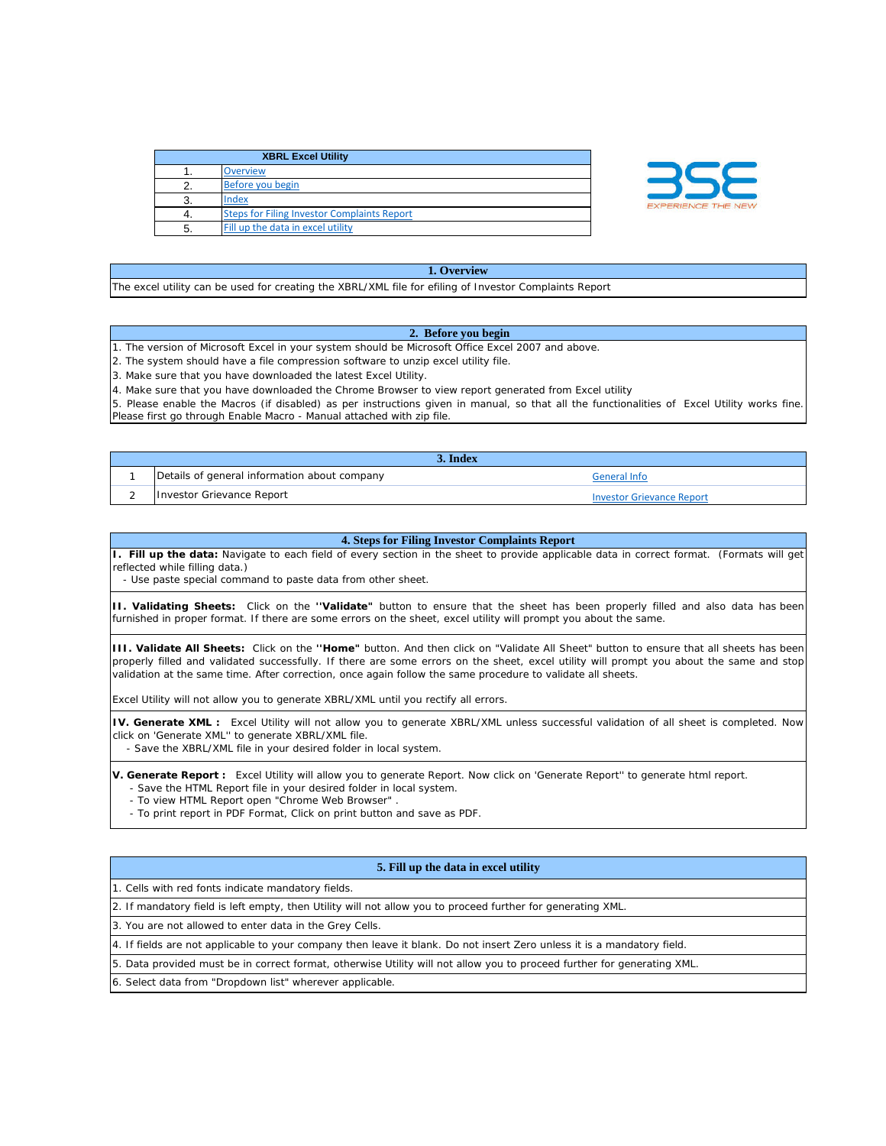| <b>XBRL Excel Utility</b> |                                                    |
|---------------------------|----------------------------------------------------|
|                           | <b>Overview</b>                                    |
|                           | Before you begin                                   |
|                           | Index                                              |
|                           | <b>Steps for Filing Investor Complaints Report</b> |
| -5.                       | Fill up the data in excel utility                  |



## **1. Overview**

The excel utility can be used for creating the XBRL/XML file for efiling of Investor Complaints Report

## **2. Before you begin**

1. The version of Microsoft Excel in your system should be Microsoft Office Excel 2007 and above.

2. The system should have a file compression software to unzip excel utility file.

3. Make sure that you have downloaded the latest Excel Utility.

4. Make sure that you have downloaded the Chrome Browser to view report generated from Excel utility

5. Please enable the Macros (if disabled) as per instructions given in manual, so that all the functionalities of Excel Utility works fine. Please first go through Enable Macro - Manual attached with zip file.

| 5. Index |                                              |                                  |  |  |
|----------|----------------------------------------------|----------------------------------|--|--|
|          | Details of general information about company | General Info                     |  |  |
|          | Investor Grievance Report                    | <b>Investor Grievance Report</b> |  |  |

## **4. Steps for Filing Investor Complaints Report**

**I. Fill up the data:** Navigate to each field of every section in the sheet to provide applicable data in correct format. (Formats will get reflected while filling data.)

- Use paste special command to paste data from other sheet.

**II. Validating Sheets:** Click on the **''Validate"** button to ensure that the sheet has been properly filled and also data has been furnished in proper format. If there are some errors on the sheet, excel utility will prompt you about the same.

**III. Validate All Sheets:** Click on the **''Home"** button. And then click on "Validate All Sheet" button to ensure that all sheets has been properly filled and validated successfully. If there are some errors on the sheet, excel utility will prompt you about the same and stop validation at the same time. After correction, once again follow the same procedure to validate all sheets.

Excel Utility will not allow you to generate XBRL/XML until you rectify all errors.

**IV. Generate XML :** Excel Utility will not allow you to generate XBRL/XML unless successful validation of all sheet is completed. Now click on 'Generate XML'' to generate XBRL/XML file.

- Save the XBRL/XML file in your desired folder in local system.

**V. Generate Report :** Excel Utility will allow you to generate Report. Now click on 'Generate Report'' to generate html report. - Save the HTML Report file in your desired folder in local system.

- To view HTML Report open "Chrome Web Browser" .

- To print report in PDF Format, Click on print button and save as PDF.

## **5. Fill up the data in excel utility**

1. Cells with red fonts indicate mandatory fields.

2. If mandatory field is left empty, then Utility will not allow you to proceed further for generating XML.

3. You are not allowed to enter data in the Grey Cells.

4. If fields are not applicable to your company then leave it blank. Do not insert Zero unless it is a mandatory field.

5. Data provided must be in correct format, otherwise Utility will not allow you to proceed further for generating XML.

6. Select data from "Dropdown list" wherever applicable.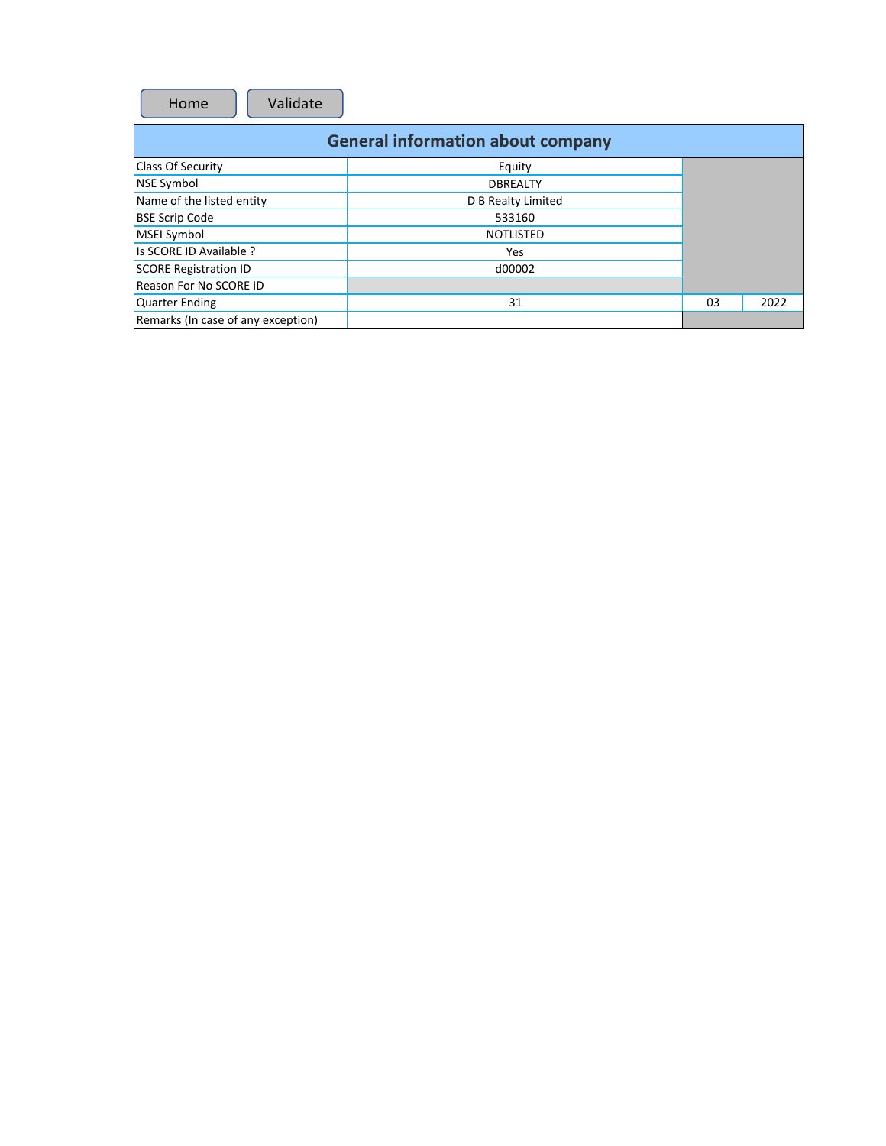| Home | Validate |
|------|----------|
|------|----------|

| <b>General information about company</b> |                    |    |      |  |  |
|------------------------------------------|--------------------|----|------|--|--|
| <b>Class Of Security</b>                 | Equity             |    |      |  |  |
| NSE Symbol                               | <b>DBREALTY</b>    |    |      |  |  |
| Name of the listed entity                | D B Realty Limited |    |      |  |  |
| <b>BSE Scrip Code</b>                    | 533160             |    |      |  |  |
| <b>MSEI Symbol</b>                       | <b>NOTLISTED</b>   |    |      |  |  |
| Is SCORE ID Available ?                  | <b>Yes</b>         |    |      |  |  |
| <b>SCORE Registration ID</b>             | d00002             |    |      |  |  |
| Reason For No SCORE ID                   |                    |    |      |  |  |
| <b>Quarter Ending</b>                    | 31                 | 03 | 2022 |  |  |
| Remarks (In case of any exception)       |                    |    |      |  |  |